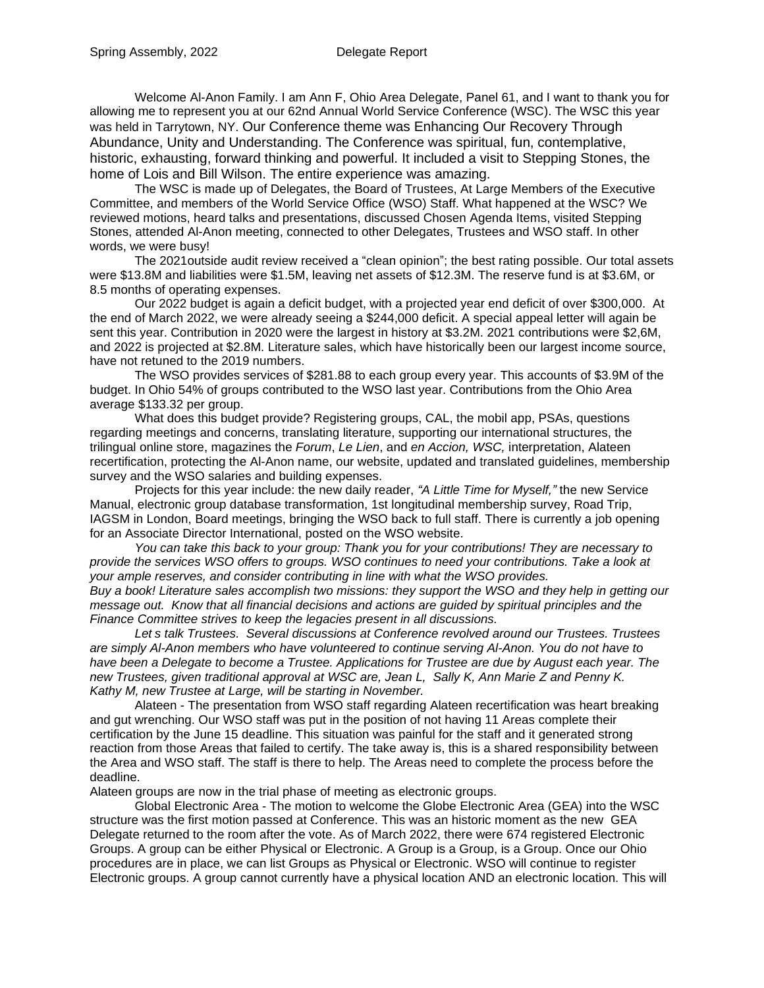Welcome Al-Anon Family. I am Ann F, Ohio Area Delegate, Panel 61, and I want to thank you for allowing me to represent you at our 62nd Annual World Service Conference (WSC). The WSC this year was held in Tarrytown, NY. Our Conference theme was Enhancing Our Recovery Through Abundance, Unity and Understanding. The Conference was spiritual, fun, contemplative, historic, exhausting, forward thinking and powerful. It included a visit to Stepping Stones, the home of Lois and Bill Wilson. The entire experience was amazing.

The WSC is made up of Delegates, the Board of Trustees, At Large Members of the Executive Committee, and members of the World Service Office (WSO) Staff. What happened at the WSC? We reviewed motions, heard talks and presentations, discussed Chosen Agenda Items, visited Stepping Stones, attended Al-Anon meeting, connected to other Delegates, Trustees and WSO staff. In other words, we were busy!

The 2021outside audit review received a "clean opinion"; the best rating possible. Our total assets were \$13.8M and liabilities were \$1.5M, leaving net assets of \$12.3M. The reserve fund is at \$3.6M, or 8.5 months of operating expenses.

Our 2022 budget is again a deficit budget, with a projected year end deficit of over \$300,000. At the end of March 2022, we were already seeing a \$244,000 deficit. A special appeal letter will again be sent this year. Contribution in 2020 were the largest in history at \$3.2M. 2021 contributions were \$2,6M, and 2022 is projected at \$2.8M. Literature sales, which have historically been our largest income source, have not retuned to the 2019 numbers.

The WSO provides services of \$281.88 to each group every year. This accounts of \$3.9M of the budget. In Ohio 54% of groups contributed to the WSO last year. Contributions from the Ohio Area average \$133.32 per group.

What does this budget provide? Registering groups, CAL, the mobil app, PSAs, questions regarding meetings and concerns, translating literature, supporting our international structures, the trilingual online store, magazines the *Forum*, *Le Lien*, and *en Accion, WSC,* interpretation, Alateen recertification, protecting the Al-Anon name, our website, updated and translated guidelines, membership survey and the WSO salaries and building expenses.

Projects for this year include: the new daily reader, *"A Little Time for Myself,"* the new Service Manual, electronic group database transformation, 1st longitudinal membership survey, Road Trip, IAGSM in London, Board meetings, bringing the WSO back to full staff. There is currently a job opening for an Associate Director International, posted on the WSO website.

*You can take this back to your group: Thank you for your contributions! They are necessary to provide the services WSO offers to groups. WSO continues to need your contributions. Take a look at your ample reserves, and consider contributing in line with what the WSO provides.*

Buy a book! Literature sales accomplish two missions: they support the WSO and they help in getting our *message out. Know that all financial decisions and actions are guided by spiritual principles and the Finance Committee strives to keep the legacies present in all discussions.*

*Let s talk Trustees. Several discussions at Conference revolved around our Trustees. Trustees are simply Al-Anon members who have volunteered to continue serving Al-Anon. You do not have to* have been a Delegate to become a Trustee. Applications for Trustee are due by August each year. The *new Trustees, given traditional approval at WSC are, Jean L, Sally K, Ann Marie Z and Penny K. Kathy M, new Trustee at Large, will be starting in November.*

Alateen - The presentation from WSO staff regarding Alateen recertification was heart breaking and gut wrenching. Our WSO staff was put in the position of not having 11 Areas complete their certification by the June 15 deadline. This situation was painful for the staff and it generated strong reaction from those Areas that failed to certify. The take away is, this is a shared responsibility between the Area and WSO staff. The staff is there to help. The Areas need to complete the process before the deadline.

Alateen groups are now in the trial phase of meeting as electronic groups.

Global Electronic Area - The motion to welcome the Globe Electronic Area (GEA) into the WSC structure was the first motion passed at Conference. This was an historic moment as the new GEA Delegate returned to the room after the vote. As of March 2022, there were 674 registered Electronic Groups. A group can be either Physical or Electronic. A Group is a Group, is a Group. Once our Ohio procedures are in place, we can list Groups as Physical or Electronic. WSO will continue to register Electronic groups. A group cannot currently have a physical location AND an electronic location. This will